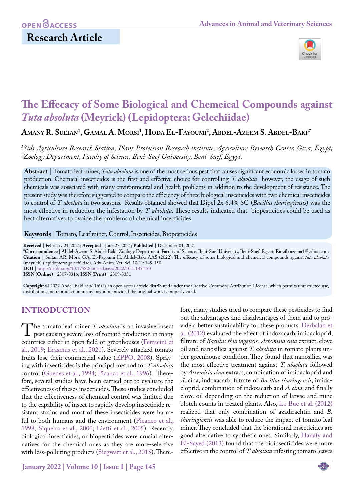## **Research Article**



# **The Effecacy of Some Biological and Chemeical Compounds against**  *Tuta absoluta* **(Meyrick) (Lepidoptera: Gelechiidae)**

**Amany R. Sultan1 , Gamal A. Morsi 1 , Hoda El-Fayoumi2 , Abdel-Azeem S. Abdel-Baki2\***

*1 Sids Agriculture Research Station, Plant Protection Research institute, Agriculture Research Center, Giza, Egypt; 2 Zoology Department, Faculty of Science, Beni-Suef University, Beni-Suef, Egypt.*

**Abstract** | Tomato leaf miner, *Tuta absoluta* is one of the most serious pest that causes significant economic losses in tomato production. Chemical insecticides is the first and effective choice for controlling *T. absoluta* however, the usage of such chemicals was aossciated with many environmental and health problems in addition to the development of resistance. The present study was therefore suggested to compare the efficiency of three biological insecticides with two chemical insecticides to control of *T. absoluta* in two seasons. Results obtained showed that Dipel 2x 6.4% SC (*Bacillus thuringiensis*) was the most effective in reduction the infestation by *T. absoluta*. These results indicated that biopesticides could be used as best alternatives to ovoide the problems of chemical insecticides.

**Keywords** | Tomato, Leaf miner, Control, Insecticides, Biopesticides

**Received** | February 21, 2021; **Accepted** | June 27, 2021; **Published** | December 01, 2021

**\*Correspondence** | Abdel-Azeem S. Abdel-Baki, Zoology Department, Faculty of Science, Beni-Suef University, Beni-Suef, Egypt; **Email:** azema1@yahoo.com **Citation** | Sultan AR, Morsi GA, El-Fayoumi H, Abdel-Baki AAS (2022). The effecacy of some biological and chemeical compounds against *tuta absoluta*  (meyrick) (lepidoptera: gelechiidae). Adv. Anim. Vet. Sci. 10(1): 145-150. **DOI** | [http://dx.doi.org/10.17582/journal.aavs/202](http://dx.doi.org/10.17582/journal.aavs/2022/10.1.145.150)2/10.1.145.150

**ISSN (Online)** | 2307-8316; **ISSN (Print)** | 2309-3331

**Copyright** © 2022 Abdel-Baki *et al*. This is an open access article distributed under the Creative Commons Attribution License, which permits unrestricted use, distribution, and reproduction in any medium, provided the original work is properly cited.

#### **Introduction**

The tomato leaf miner *T. absoluta* is an invasive insect pest causing severe loss of tomato production in many countries either in onen field or greenhouses (Ferracini et countries either in open field or greenhouses [\(Ferracini et](#page-4-0) [al., 2019;](#page-4-0) Erasmus et al., 2021). Severely attacked tomato fruits lose their commercial value [\(EPPO, 2008\)](#page-4-1). Spraying with insecticides is the principal method for *T. absoluta* control ([Guedes et al., 1994](#page-4-2); Picanco et al., 1996). Therefore, several studies have been carried out to evaluate the effectiveness of theses insecticides. These studies concluded that the effectiveness of chemical control was limited due to the capability of insect to rapidly develop insecticide resistant strains and most of these insecticides were harmful to both humans and the environment (Picanco et al., 1998; [Siqueira et al., 2000](#page-5-0); Lietti et al., 2005). Recently, biological insecticides, or biopesticides were crucial alternatives for the chemical ones as they are more-selective with less-polluting products [\(Siegwart et al., 2015\)](#page-5-0). There-

**January 2022 | Volume 10 | Issue 1 | Page 145**

fore, many studies tried to compare these pesticides to find out the advantages and disadvantages of them and to provide a better sustainability for these products. [Derbalah et](#page-4-3) [al. \(2012\)](#page-4-3) evaluated the effect of indoxacarb, imidacloprid, filtrate of *Bacillus thuringensis, Artemisia cina* extract, clove oil and nanosilica against *T. absoluta* in tomato plants under greenhouse condition. They found that nanosilica was the most effective treatment against *T. absoluta* followed by *Atremisia cina* extract, combination of imidacloprid and *A*. cina, indoxacarb, filtrate of *Bacillus thuringensis*, imidacloprid, combination of indoxacarb and *A. cina*, and finally clove oil depending on the reduction of larvae and mine blotch counts in treated plants. Also, [Lo Bue et al. \(2012\)](#page-4-4) realized that only combination of azadirachtin and *B. thuringiensis* was able to reduce the impact of tomato leaf miner. They concluded that the biorational insecticides are good alternative to synthetic ones. Similarly, [Hanafy and](#page-4-5) [El-Sayed \(2013\)](#page-4-5) found that the bioinsecticides were more effective in the control of *T. absoluta* infesting tomato leaves

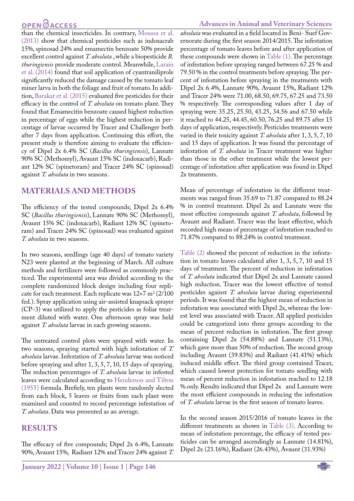## **OPEN**<sub>d</sub>

than the chemical insecticides. In contrary, [Moussa et al.](#page-4-6)  [\(2013\)](#page-4-6) show that chemical pesticides such as indoxacrab 15%, spinosad 24% and emamectin benzoate 50% provide excellent control against *T. absoluta* , while a biopesticide *B. thuringiensis* provide moderate control. Meanwhile, [Larain](#page-4-7)  [et al. \(2014\) f](#page-4-7)ound that soil application of cyantraniliprole significantly reduced the damage caused by the tomato leaf miner larva in both the foliage and fruit of tomato. In addition, [Barakat et al. \(2015\)](#page-4-8) evaluated five pesticides for their efficacy in the control of *T. absoluta* on tomato plant. They found that Emamecitin benzoate caused highest reduction in percentage of eggs while the highest reduction in percentage of larvae occurred by Tracer and Challenger both after 7 days from application. Continuing this effort, the present study is therefore aiming to evaluate the efficiency of Dipel 2x 6.4% SC (*Bacillus thuringiensis*), Lannate 90% SC (Methomyl), Avaunt 15% SC (indoxacarb), Radiant 12% SC (spinetoram) and Tracer 24% SC (spinosad) against *T. absoluta* in two seasons.

### **Materials and methods**

The efficiency of the tested compounds; Dipel 2x 6.4% SC (*Bacillus thuringiensis*), Lannate 90% SC (Methomyl), Avaunt 15% SC (indoxacarb), Radiant 12% SC (spinetoram) and Tracer 24% SC (spinosad) was evaluated against *T. absoluta* in two seasons.

In two seasons, seedlings (age 40 days) of tomato variety N23 were planted at the beginning of March. All culture methods and fertilizers were followed as commonly practiced. The experimental area was divided according to the complete randomized block design including four replicate for each treatment. Each replicate was  $12\times7$  m<sup>2</sup> (2/100) fed.). Spray application using air-assisted knapsack sprayer (CP-3) was utilized to apply the pesticides as foliar treatment diluted with water. One afternoon spray was held against *T. absoluta* larvae in each growing seasons.

The untreated control plots were sprayed with water. In two seasons, spraying started with high infestation of *T. absoluta* larvae. Infestation of *T. absoluta* larvae was noticed before spraying and after 1, 3, 5, 7, 10, 15 days of spraying. The reduction percentages of *T. absoluta* larvae in infested leaves were calculated according to [Henderson and Tilton](#page-4-9)  [\(1955\)](#page-4-9) formula. Brefiely, ten plants were randomly slected from each block, 5 leaves or fruits from each plant were examined and counted to record percentage infestation of *T. absoluta*. Data was presented as an average.

#### **Results**

The effecacy of five compounds; Dipel 2x 6.4%, Lannate 90%, Avaunt 15%, Radiant 12% and Tracer 24% against *T.* 

*absoluta* was evaluated in a field located in Beni- Suef Governorate during the first season 2014/2015. The infestation percentage of tomato leaves before and after application of these compounds were shown in [Table \(1\)](#page-2-0). The percentage of infestation before spraying ranged between 67.25 % and 79.50 % in the control treatments before spraying. The percent of infestation before spraying in the treatments with Dipel 2x 6.4%, Lannate 90%, Avaunt 15%, Radiant 12% and Tracer 24% were 71.00, 68.50, 69.75, 67.25 and 73.50 % respectively. The corresponding values after 1 day of spraying were 35.25, 25.50, 43.25, 34.56 and 67.50 while it reached to 44.25, 44.45, 60.50, 76.25 and 89.75 after 15 days of application, respectively. Pesticides treatments were varied in their toxicity against *T. absoluta* after 1, 3, 5, 7, 10 and 15 days of application. It was found the percentage of infestation of *T. absoluta* in Tracer treatment was higher than those in the other treatment while the lowest percentage of infestation after application was found in Dipel 2x treatments.

Mean of percentage of infestation in the different treatments was ranged from 35.69 to 71.87 compared to 88.24 % in control treatment. Dipel 2x and Lannate were the most effective compounds against *T. absoluta*, followed by Avaunt and Radiant. Tracer was the least effective, which recorded high mean of percentage of infestation reached to 71.87% compared to 88.24% in control treatment.

[Table \(2\) s](#page-2-1)howed the percent of reduction in the infestation in tomato leaves calculated after 1, 3, 5, 7, 10 and 15 days of treatment. The percent of reduction in infestation of *T. absoluta* indicated that Dipel 2x and Lannate caused high reduction. Tracer was the lowest effective of tested pesticides against *T. absoluta* larvae during experimental periods. It was found that the highest mean of reduction in infestation was associated with Dipel 2x, whereas the lowest level was associated with Tracer. All applied pesticides could be categorized into three groups according to the mean of percent reduction in infestation. The first group containing Dipel 2x (54.88%) and Lannate (51.13%), which gave more than 50% of reduction. The second group including Avaunt (39.83%) and Radiant (41.41%) which induced middle effect. The third group contained Tracer, which caused lowest protection for tomato seedling with mean of percent reduction in infestation reached to 12.18 %.only. Results indicated that Dipel 2x and Lannate were the most efficient compounds in reducing the infestation of *T. absoluta* larvae in the first season of tomato leaves.

In the second season 2015/2016 of tomato leaves in the different treatments as shown in [Table \(3\)](#page-2-2). According to mean of infestation percentage, the efficacy of tested pesticides can be arranged ascendingly as Lannate (14.81%), Dipel 2x (23.16%), Radiant (26.43%), Avaunt (31.93%)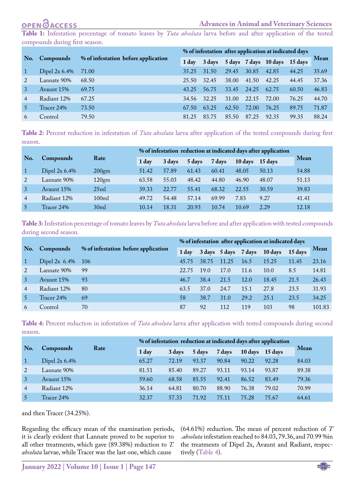# **OPENOACCESS**

<span id="page-2-0"></span>**Table 1:** Infestation percentage of tomato leaves by *Tuta absoluta* larva before and after application of the tested compounds during first season.

|     | <b>Compounds</b>  | % of infestation before application | % of infestation after application at indicated days |       |       |       |                                      |       |             |
|-----|-------------------|-------------------------------------|------------------------------------------------------|-------|-------|-------|--------------------------------------|-------|-------------|
| No. |                   |                                     | 1 day                                                |       |       |       | 3 days 5 days 7 days 10 days 15 days |       | <b>Mean</b> |
|     | Dipel $2x\,6.4\%$ | 71.00                               | 35.25                                                | 31.50 | 29.45 | 30.85 | 42.85                                | 44.25 | 35.69       |
|     | Lannate 90%       | 68.50                               | 25.50                                                | 32.45 | 38.00 | 41.50 | 42.25                                | 44.45 | 37.36       |
|     | Avaunt 15%        | 69.75                               | 43.25                                                | 56.75 | 33.45 | 24.25 | 62.75                                | 60.50 | 46.83       |
| 4   | Radiant 12%       | 67.25                               | 34.56                                                | 32.25 | 31.00 | 22.15 | 72.00                                | 76.25 | 44.70       |
|     | Tracer 24%        | 73.50                               | 67.50                                                | 63.25 | 62.50 | 72.00 | 76.25                                | 89.75 | 71.87       |
|     | Control           | 79.50                               | 81.25                                                | 83.75 | 85.50 | 87.25 | 92.35                                | 99.35 | 88.24       |

<span id="page-2-1"></span>**Table 2:** Percent reduction in infestation of *Tuta absoluta* larva after application of the tested compounds during first season.

|     |                   |                  | % of infestation reduction at indicated days after application |        |        |        |         |         |       |  |
|-----|-------------------|------------------|----------------------------------------------------------------|--------|--------|--------|---------|---------|-------|--|
| No. | <b>Compounds</b>  | Rate             | 1 day                                                          | 3 days | 5 days | 7 days | 10 days | 15 days | Mean  |  |
|     | Dipel $2x\,6.4\%$ | 200gm            | 51.42                                                          | 57.89  | 61.43  | 60.41  | 48.05   | 50.13   | 54.88 |  |
|     | Lannate 90%       | 120gm            | 63.58                                                          | 55.03  | 48.42  | 44.80  | 46.90   | 48.07   | 51.13 |  |
|     | Avaunt 15%        | 25ml             | 39.33                                                          | 22.77  | 55.41  | 68.32  | 22.55   | 30.59   | 39.83 |  |
| 4   | Radiant 12%       | 100ml            | 49.72                                                          | 54.48  | 57.14  | 69.99  | 7.83    | 9.27    | 41.41 |  |
|     | Tracer 24%        | 30 <sub>ml</sub> | 10.14                                                          | 18.31  | 20.93  | 10.74  | 10.69   | 2.29    | 12.18 |  |

<span id="page-2-2"></span>**Table 3:** Infestation percentage of tomato leaves by *Tuta absoluta* larva before and after application with tested compounds during second season.

|     | <b>Compounds</b>  | % of infestation before application | % of infestation after application at indicated days |       |               |      |                |         |             |
|-----|-------------------|-------------------------------------|------------------------------------------------------|-------|---------------|------|----------------|---------|-------------|
| No. |                   |                                     | 1 day                                                |       | 3 days 5 days |      | 7 days 10 days | 15 days | <b>Mean</b> |
|     | Dipel $2x\,6.4\%$ | - 106                               | 45.75                                                | 38.75 | 11.25         | 16.5 | 15.25          | 11.45   | 23.16       |
|     | Lannate 90%       | 99                                  | 22.75                                                | 19.0  | 17.0          | 11.6 | 10.0           | 8.5     | 14.81       |
|     | Avaunt 15%        | 93                                  | 46.7                                                 | 38.4  | 21.5          | 12.0 | 18.45          | 21.5    | 26.43       |
|     | Radiant 12%       | 80                                  | 63.5                                                 | 37.0  | 24.7          | 15.1 | 27.8           | 23.5    | 31.93       |
|     | Tracer 24%        | 69                                  | 58                                                   | 38.7  | 31.0          | 29.2 | 25.1           | 23.5    | 34.25       |
|     | Control           | 70                                  | 87                                                   | 92    | 112           | 119  | 103            | 98      | 101.83      |

<span id="page-2-3"></span>**Table 4:** Percent reduction in infestation of *Tuta absoluta* larva after application with tested compounds during second season.

|                |                   |      |       | % of infestation reduction at indicated days after application |        |        |                 |       |             |
|----------------|-------------------|------|-------|----------------------------------------------------------------|--------|--------|-----------------|-------|-------------|
| No.            | Compounds         | Rate | 1 day | 3 days                                                         | 5 days | 7 days | 10 days 15 days |       | <b>Mean</b> |
|                | Dipel $2x\,6.4\%$ |      | 65.27 | 72.19                                                          | 93.37  | 90.84  | 90.22           | 92.28 | 84.03       |
|                | Lannate 90%       |      | 81.51 | 85.40                                                          | 89.27  | 93.11  | 93.14           | 93.87 | 89.38       |
|                | Avaunt 15%        |      | 59.60 | 68.58                                                          | 85.55  | 92.41  | 86.52           | 83.49 | 79.36       |
| $\overline{4}$ | Radiant 12%       |      | 36.14 | 64.81                                                          | 80.70  | 88.90  | 76.38           | 79.02 | 70.99       |
|                | Tracer 24%        |      | 32.37 | 57.33                                                          | 71.92  | 75.11  | 75.28           | 75.67 | 64.61       |

and then Tracer (34.25%).

Regarding the efficacy mean of the examination periods, it is clearly evident that Lannate proved to be superior to all other treatments, which gave (89.38%) reduction to *T. absoluta* larvae, while Tracer was the last one, which cause

(64.61%) reduction. The mean of percent reduction of *T .absoluta* infestation reached to 84.03, 79.36, and 70.99 %in the treatments of Dipel 2x, Avaunt and Radiant, respectively ([Table 4\)](#page-2-3).

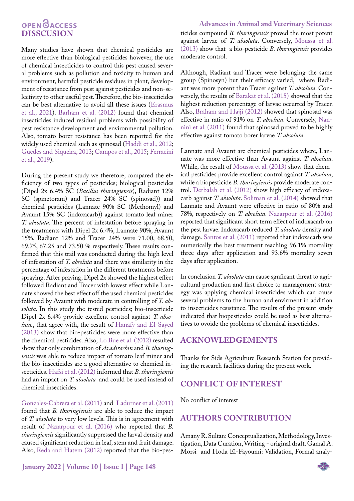### **OPEN**OACCESS **Disscusion**

**Advances in Animal and Veterinary Sciences**

Many studies have shown that chemical pesticides are more effective than biological pesticides however, the use of chemical insecticides to control this pest caused several problems such as pollution and toxicity to human and environment, harmful pesticide residues in plant, development of resistance from pest against pesticides and non-selectivity to other useful pest. Therefore, the bio-insecticides can be best alternative to avoid all these issues (Erasmus et al., 2021). [Barham et al. \(2012\)](#page-4-10) found that chemical insecticides induced residual problems with possibility of pest resistance development and environmental pollution. Also, tomato borer resistance has been reported for the widely used chemical such as spinosad [\(Haddi et al., 2012](#page-4-11); [Guedes and Siqueira, 2013;](#page-4-2) [Campos et al., 2015](#page-4-12); [Ferracini](#page-4-0)  [et al., 2019](#page-4-0)).

During the present study we therefore, compared the efficiency of two types of pesticides; biological pesticides (Dipel 2x 6.4% SC (*Bacillus thuringiensis*), Radiant 12% SC (spinetoram) and Tracer 24% SC (spinosad)) and chemical pesticides (Lannate 90% SC (Methomyl) and Avaunt 15% SC (indoxacarb)) against tomato leaf miner *T. absoluta*. The percent of infestation before spraying in the treatments with Dipel 2x 6.4%, Lannate 90%, Avaunt 15%, Radiant 12% and Tracer 24% were 71.00, 68.50, 69.75, 67.25 and 73.50 % respectively. These results confirmed that this trail was conducted during the high level of infestation of *T. absoluta* and there was similarity in the percentage of infestation in the different treatments before spraying. After praying, Dipel 2x showed the highest effect followed Radiant and Tracer with lowest effect while Lannate showed the best effect off the used chemical pesticides followed by Avaunt with moderate in controlling of *T. absoluta*. In this study the tested pesticides; bio-insecticide Dipel 2x 6.4% provide excellent control against *T. absoluta.*, that agree with, the result of [Hanafy and El-Sayed](#page-4-5)  [\(2013\)](#page-4-5) show that bio-pesticides were more effective than the chemical pesticides. Also, [Lo Bue et al. \(2012\)](#page-4-4) resulted show that only combination of *Azadirachin* and *B. thuringiensis* was able to reduce impact of tomato leaf miner and the bio-insecticides are a good alternative to chemical insecticides. [Hafsi et al. \(2012\)](#page-4-13) informed that *B. thuringiensis* had an impact on *T. absoluta* and could be used instead of chemical insecticides.

[Gonzales-Cabrera et al. \(2011\)](#page-4-14) and [Ladurner et al. \(2011\)](#page-4-15) found that *B. thuringiensis* are able to reduce the impact of *T. absoluta* to very low levels. This is in agreement with result of [Nazarpour et al. \(2016\)](#page-4-16) who reported that *B. thuringiensis* significantly suppressed the larval density and caused significant reduction in leaf, stem and fruit damage. Also, [Reda and Hatem \(2012\)](#page-4-17) reported that the bio-pesticides compound *B. thuringiensis* proved the most potent against larvae of *T. absoluta*. Conversely, [Moussa et al.](#page-4-6) [\(2013\) s](#page-4-6)how that a bio-pesticide *B. thuringiensis* provides moderate control.

Although, Radiant and Tracer were belonging the same group (Spinosyn) but their efficacy varied, where Radiant was more potent than Tracer against *T. absoluta*. Conversely, the results of [Barakat et al. \(2015\) s](#page-4-8)howed that the highest reduction percentage of larvae occurred by Tracer. Also[, Braham and Hajji \(2012\)](#page-4-10) showed that spinosad was effective in ratio of 91% on *T. absoluta*. Conversely[, Nan](#page-4-18)[nini et al. \(2011\)](#page-4-18) found that spinosad proved to be highly effective against tomato borer larvae *T. absoluta*.

Lannate and Avaunt are chemical pesticides where, Lannate was more effective than Avaunt against *T. absoluta*. While, the result of [Moussa et al. \(2013\) s](#page-4-6)how that chemical pesticides provide excellent control against *T. absoluta*, while a biopesticide *B. thuringiensis* provide moderate control. [Derbalah et al. \(2012\)](#page-4-3) show high efficacy of indoxacarb against *T. absoluta*. [Soliman et al. \(2014\)](#page-5-1) showed that Lannate and Avaunt were effective in ratio of 80% and 78%, respectively on *T. absoluta*. [Nazarpour et al. \(2016\)](#page-4-16) reported that significant short term effect of indoxacarb on the pest larvae. Indoxacarb reduced *T. absoluta* density and damage. [Santos et al. \(2011\)](#page-4-19) reported that indoxacarb was numerically the best treatment reaching 96.1% mortality three days after application and 93.6% mortality seven days after application.

In conclusion *T. absoluta* can cause sgnficant threat to agricultural production and first choice to management strategy was applying chemical insecticides which can cause several problems to the human and envirment in addition to insecticides resistance. The results of the present study indicated that biopesticides could be used as best alternatives to ovoide the problems of chemical insecticides.

#### **acknowledgements**

Thanks for Sids Agriculture Research Station for providing the research facilities during the present work.

### **Conflict of interest**

No conflict of interest

#### **authors contribution**

Amany R. Sultan: Conceptualization, Methodology, Investigation, Data Curation, Writing - original draft. Gamal A. Morsi and Hoda El-Fayoumi: Validation, Formal analy-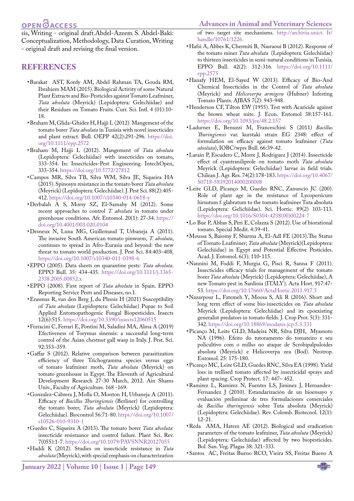### **OPEN**OACCESS

sis, Writing - original draft.Abdel-Azeem S. Abdel-Baki: Conceptualization, Methodology, Data Curation, Writing - original draft and revising the final version.

#### **References**

- <span id="page-4-8"></span>• Barakat AST, Kordy AM, Abdel Rahman TA, Gouda RM, Ibrahiem MAM (2015). Biological Activity of some Natural Plant Extracts and Bio-Pesticides against Tomato Leafminer, *Tuta absoluta* (Meyrick) (Lepidoptera: Gelechiidae) and their Residues on Tomato Fruits. Curr. Sci. Intl. 4 (01):10- 18.
- • Braham M, Glida-Ghidez H, Hajji L (2012). Mangement of the tomato borer *Tuta absoluta* in Tunisia with novel insecticides and plant extract. Bull. OEPP 42(2):291-296. [https://doi.](https://doi.org/10.1111/epp.2572 ) [org/10.1111/epp.2572](https://doi.org/10.1111/epp.2572 )
- <span id="page-4-10"></span>• Braham M, Hajji L (2012). Mangement of *Tuta absoluta* (Lepidoptera: Gelechiidae) with insecticides on tomato, 333-354. In: Insecticides-Pest Engineering. IntechOpen, 333-354. [https://doi.org/10.5772/27812](https://doi.org/10.5772/27812 )
- <span id="page-4-12"></span>• Campos MR, Silva TB, Silva WM, Silva JE, Siqueira HA (2015). Spinosyn resistance in the tomato borer *Tuta absoluta* (Meyrick) (Lepidoptera: Gelechiidae). J. Pest Sci. 88(2):405- 412. <https://doi.org/10.1007/s10340-014-0618-y>
- <span id="page-4-3"></span>• Derbalah A S, Morsy SZ, El-Samahy M (2012). Some recent approaches to control *T. absoluta* in tomato under greenhouse conditions. Afr. Entomol. 20(1): 27-34. [https://](https://doi.org/10.4001/003.020.0104 ) [doi.org/10.4001/003.020.0104](https://doi.org/10.4001/003.020.0104 )
- • Desneux N, Luna MG, Guillemaud T, Urbaneja A (2011). The invasive South American tomato pinworm, *T. absoluta*, continues to spread in Afro-Eurasia and beyond: the new threat to tomato world production. J. Pest Sci. 84:403–408[.](http://dx.doi.org/10.1007/s10340-011-0398-6)  [https://doi.org/10.1007/s10340-011-0398-6](https://doi.org/10.1007/s10340-011-0398-6 )
- • EPPO (2005). Data sheets on quarantine pests: *Tuta absoluta*. EPPO Bull. 35: 434-435. [https://doi.org/10.1111/j.1365-](https://doi.org/10.1111/j.1365-2338.2005.00852.x) [2338.2005.00852.x](https://doi.org/10.1111/j.1365-2338.2005.00852.x)
- <span id="page-4-1"></span>• EPPO (2008). First report of *Tuta absoluta* in Spain. EPPO Reporting Service Pests and Diseases, no.1.
- • Erasmus R, van den Berg J, du Plessis H (2021) Susceptibility of *Tuta absoluta* (Lepidoptera: Gelechiidae) Pupae to Soil Applied Entomopathogenic Fungal Biopesticides. Insects 12(6):515[. https://doi.org/10.3390/insects12060515](�https://doi.org/10.3390/insects12060515)
- <span id="page-4-0"></span>• Ferracini C, Ferrari E, Pontini M, Saladini MA, Alma A (2019) Efectiveness of Torymus sinensis: a successful long-term control of the Asian chestnut gall wasp in Italy. J. Pest. Sci. 92:353–359.
- • Gaffar S (2012). Relative comparison between parasitization efficiency of three Trichogramma species versus eggs of tomato leafminer moth, *Tuta absoluta* (Meyrick) on tomato greenhouse in Egypt. The Eleventh of Agricultural Development Research 27-30 March, 2012. Ain Shams Univ., Faculty of Agriculture. 168 -169.
- <span id="page-4-14"></span>• Gonzalez-Cabrera J, Molla O, Monton H, Urbaneja A (2011). Efficacy of *Bacillus Thuringiensis* (Berliner) for controlling the tomato borer, *Tuta absoluta* (Meyrick) (Lepidoptera: Gelechiidae). Biocontrol 56:71-80. [https://doi.org/10.1007/](https://doi.org/10.1007/s10526-010-9310-1 ) [s10526-010-9310-1](https://doi.org/10.1007/s10526-010-9310-1 )
- <span id="page-4-2"></span>• Guedes C, Siqueira A (2013). The tomato borer *Tuta absoluta*: insecticide resistaance and control failure. Plant Sci. Rev. 7(055):1-7. [https://doi.org/10.1079/PAVSNNR20127055](https://doi.org/10.1079/PAVSNNR20127055 )
- <span id="page-4-11"></span>• Haddi K (2012). Studies on insecticide resistance in *Tuta absoluta* (Meyrick), with special emphasis on characterization

of two target site mechanisms. [http://archivia.unict](http://archivia.unict ). It/ handle/10761/1226.

- <span id="page-4-13"></span>• Hafsi A, Abbes K, Chermiti B, Nasraoui B (2012). Response of the tomato miner *Tuta absoluta* (Lepidoptera: Gelechiidae) to thirteen insecticides in semi-natural conditions in Tunisia. EPPO Bull. 42(2): 312-316. [https://doi.org/10.1111/](https://doi.org/10.1111/epp.2575 ) [epp.2575](https://doi.org/10.1111/epp.2575 )
- <span id="page-4-5"></span>• Hanafy HEM, El-Sayed W (2013). Efficacy of Bio-And Chemical Insecticides in the Control of *Tuta absoluta* (Meyrick) and *Helicoverpa armigera* (Hubner) Infesting Tomato Plants. AJBAS 7(2): 943-948.
- <span id="page-4-9"></span>• Henderson CF, Tilton EW (1955). Test with Acaricide against the brown wheat mite. J. Econ. Entomol 38:157-161. [https://doi.org/10.1093/jee/48.2.157](https://doi.org/10.1093/jee/48.2.157 )
- <span id="page-4-15"></span>• Ladurner E, Benuzzi M, Franceschini S (2011) *Bacillus Thuringiensis* var. kurstaki strain EG 2348: effect of formulation on efficacy against tomato leafminer (*Tuta absoluta*), IOBC/wprs Bull. 66:39-42.
- <span id="page-4-7"></span>• Larain P, Escudero C, Morre J, Rodriguez J (2014). Insecticide effect of cyantraniliprole on tomato moth *Tuta absoluta* Meyrick (Lepidoptera: Gelechiidae) larvae in field trials. Chilean J. Agr. Res. 74(2):178-183. [https://doi.org/10.4067/](https://doi.org/10.4067/S0718-58392014000200008 ) [S0718-58392014000200008](https://doi.org/10.4067/S0718-58392014000200008 )
- • Leite GLD, Picanço M, Guedes RNC, Zanuncio JC (200). Role of plant age in the resistance of Lycopersicum hirsutum f. glabratum to the tomato leafminer Tuta absoluta (Lepidoptera: Gelichiidae). Sci. Hortic. 89(2) 103-113. [https://doi.org/10.1016/S0304-4238\(00\)00224-7](https://doi.org/10.1016/S0304-4238(00)00224-7 )
- <span id="page-4-4"></span>• Lo Bue P, Abbas S, Peri E, Colazza S (2012). Use of biorational tomato. Special Medit. 4:39-41.
- <span id="page-4-6"></span>• Moussa S, Baiomy F, Sharma A, El-Adl FE (2013).The Status of Tomato Leafminer; *Tuta absoluta* (Meyrick)(Lepidoptera: Gelechiidae) in Egypt and Potential Effective Pesticides. Acad. J. Entomol. 6(3): 110-115.
- <span id="page-4-18"></span>• Nannini M, Foddi F, Murgia G, Pisci R, Sanna F (2011). Insecticides efficacy trials for management of the tomato borer *Tuta absoluta* (Meyrick) (Lepidoptera: Gelechiidae), A new Tomato pest in Sardinia (ITALY). Acta Hort. 917:47- 53. [https://doi.org/10.17660/ActaHortic.2011.917.5](https://doi.org/10.17660/ActaHortic.2011.917.5 )
- <span id="page-4-16"></span>• Nazarpour L, Fatemeh Y, Moosa S, Ali R (2016). Short and long term effect of some bio-insecticides on *Tuta absoluta* Meyrick (Lepidoptera: Gelechiidae) and its cpoexisting generalist predators in tomato fields. J. Crop Prot. 5(3): 331- 342. [https://doi.org/10.18869/modares.jcp.5.3.331](https://doi.org/10.18869/modares.jcp.5.3.331 )
- • Picanço M, Leite GLD, Madeira NR, Silva DJH, Myamoto NA (1996). Efeito do tutoramento do tomateiro e seu policultivo com o milho no ataque de Scrobipalpuloides absoluta (Meyrick) e Helicoverpa zea (Bod). Neotrop. Entomol. 25: 175-180.
- Picanço MC, Leite GLD, Guedes RNC, Silva EA (1998). Yield loss in trellised tomato affected by insecticidal sprays and plant spacing. Crop Protect. 17: 447– 452.
- • Ramirez L, Ramirez N, Fuentes LS, Jiminez J, Hernandez-Fernandez J (2010). Estandarización de un bioensayo y evaluación preliminar de tres formulaciones comerciales de *Bacillus thuringiensis* sobre Tuta absoluta (Meyrick) (Lepidoptera: Gelechiidae). Rev. Colomb. Biotecnol. 12(1): 12-21.
- <span id="page-4-17"></span>• Reda AMA, Hatem AE (2012). Biological and eradication parameters of the tomato leafminer, *Tuta absoluta* (Meyrick) (Lepidoptera: Gelechiidae) affected by two biopesticides. Bol. San. Veg. Plagas 38: 321-333.
- <span id="page-4-19"></span>• Santos AC, Freitas Bueno RCO, Vieira SS, Freitas Bueno A

NE**X**US